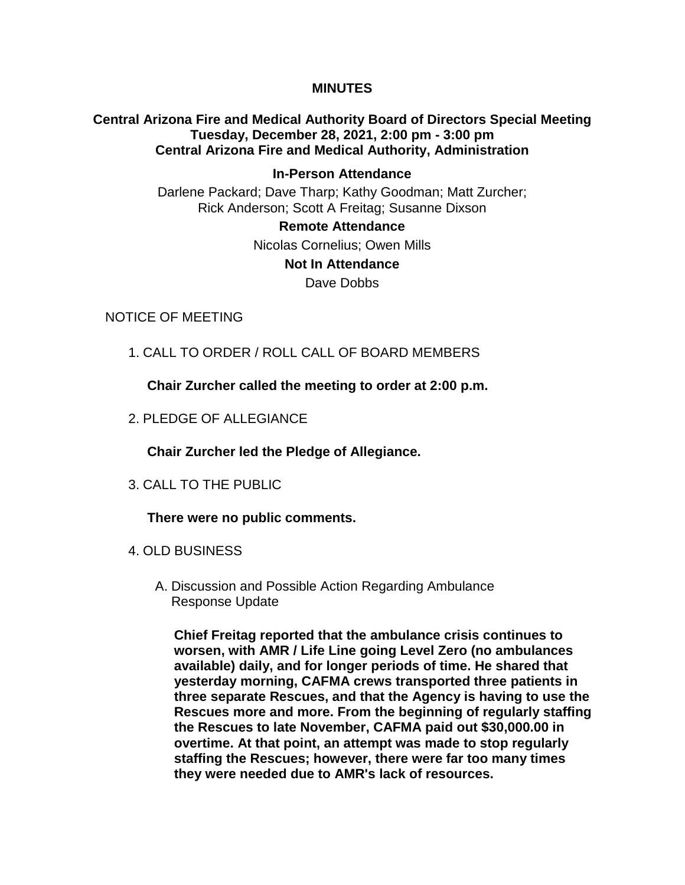### **MINUTES**

# **Central Arizona Fire and Medical Authority Board of Directors Special Meeting Tuesday, December 28, 2021, 2:00 pm - 3:00 pm Central Arizona Fire and Medical Authority, Administration**

## **In-Person Attendance** Darlene Packard; Dave Tharp; Kathy Goodman; Matt Zurcher; Rick Anderson; Scott A Freitag; Susanne Dixson

### **Remote Attendance**

Nicolas Cornelius; Owen Mills

### **Not In Attendance**

Dave Dobbs

### NOTICE OF MEETING

1. CALL TO ORDER / ROLL CALL OF BOARD MEMBERS

**Chair Zurcher called the meeting to order at 2:00 p.m.**

2. PLEDGE OF ALLEGIANCE

**Chair Zurcher led the Pledge of Allegiance.**

3. CALL TO THE PUBLIC

**There were no public comments.**

- 4. OLD BUSINESS
	- A. Discussion and Possible Action Regarding Ambulance Response Update

**Chief Freitag reported that the ambulance crisis continues to worsen, with AMR / Life Line going Level Zero (no ambulances available) daily, and for longer periods of time. He shared that yesterday morning, CAFMA crews transported three patients in three separate Rescues, and that the Agency is having to use the Rescues more and more. From the beginning of regularly staffing the Rescues to late November, CAFMA paid out \$30,000.00 in overtime. At that point, an attempt was made to stop regularly staffing the Rescues; however, there were far too many times they were needed due to AMR's lack of resources.**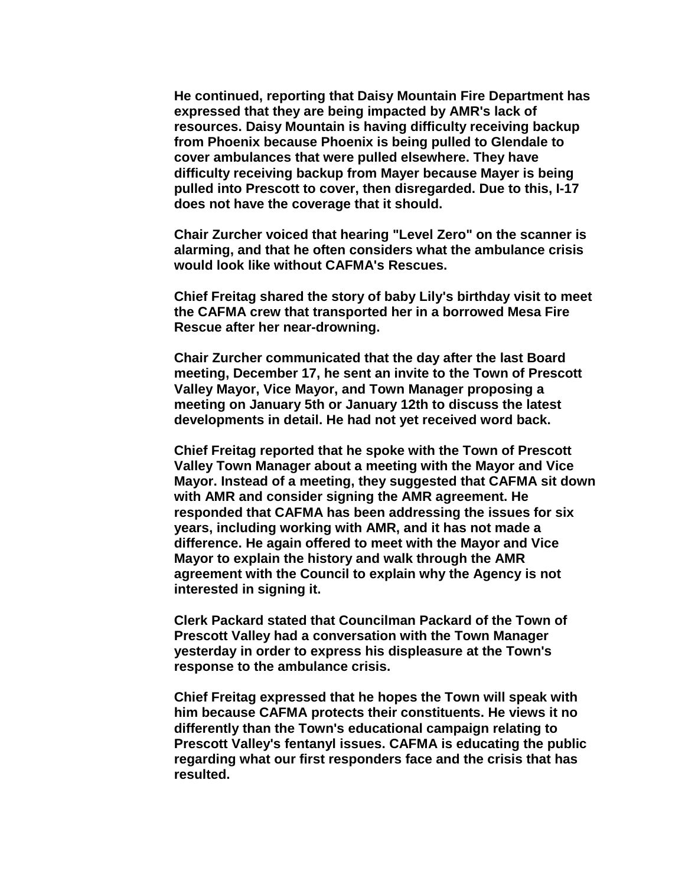**He continued, reporting that Daisy Mountain Fire Department has expressed that they are being impacted by AMR's lack of resources. Daisy Mountain is having difficulty receiving backup from Phoenix because Phoenix is being pulled to Glendale to cover ambulances that were pulled elsewhere. They have difficulty receiving backup from Mayer because Mayer is being pulled into Prescott to cover, then disregarded. Due to this, I-17 does not have the coverage that it should.**

**Chair Zurcher voiced that hearing "Level Zero" on the scanner is alarming, and that he often considers what the ambulance crisis would look like without CAFMA's Rescues.**

**Chief Freitag shared the story of baby Lily's birthday visit to meet the CAFMA crew that transported her in a borrowed Mesa Fire Rescue after her near-drowning.**

**Chair Zurcher communicated that the day after the last Board meeting, December 17, he sent an invite to the Town of Prescott Valley Mayor, Vice Mayor, and Town Manager proposing a meeting on January 5th or January 12th to discuss the latest developments in detail. He had not yet received word back.**

**Chief Freitag reported that he spoke with the Town of Prescott Valley Town Manager about a meeting with the Mayor and Vice Mayor. Instead of a meeting, they suggested that CAFMA sit down with AMR and consider signing the AMR agreement. He responded that CAFMA has been addressing the issues for six years, including working with AMR, and it has not made a difference. He again offered to meet with the Mayor and Vice Mayor to explain the history and walk through the AMR agreement with the Council to explain why the Agency is not interested in signing it.**

**Clerk Packard stated that Councilman Packard of the Town of Prescott Valley had a conversation with the Town Manager yesterday in order to express his displeasure at the Town's response to the ambulance crisis.** 

**Chief Freitag expressed that he hopes the Town will speak with him because CAFMA protects their constituents. He views it no differently than the Town's educational campaign relating to Prescott Valley's fentanyl issues. CAFMA is educating the public regarding what our first responders face and the crisis that has resulted.**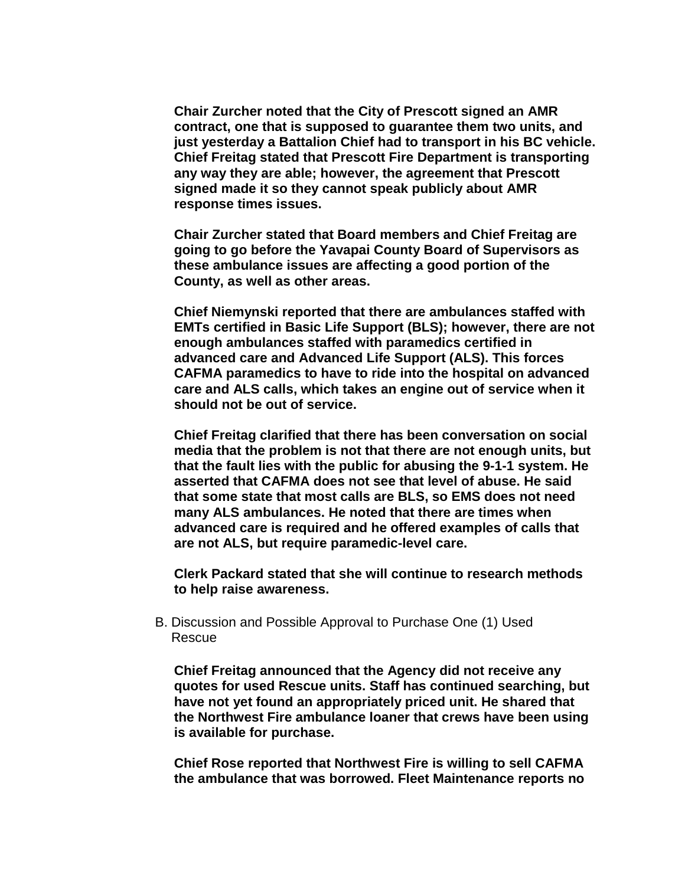**Chair Zurcher noted that the City of Prescott signed an AMR contract, one that is supposed to guarantee them two units, and just yesterday a Battalion Chief had to transport in his BC vehicle. Chief Freitag stated that Prescott Fire Department is transporting any way they are able; however, the agreement that Prescott signed made it so they cannot speak publicly about AMR response times issues.** 

**Chair Zurcher stated that Board members and Chief Freitag are going to go before the Yavapai County Board of Supervisors as these ambulance issues are affecting a good portion of the County, as well as other areas.** 

**Chief Niemynski reported that there are ambulances staffed with EMTs certified in Basic Life Support (BLS); however, there are not enough ambulances staffed with paramedics certified in advanced care and Advanced Life Support (ALS). This forces CAFMA paramedics to have to ride into the hospital on advanced care and ALS calls, which takes an engine out of service when it should not be out of service.**

**Chief Freitag clarified that there has been conversation on social media that the problem is not that there are not enough units, but that the fault lies with the public for abusing the 9-1-1 system. He asserted that CAFMA does not see that level of abuse. He said that some state that most calls are BLS, so EMS does not need many ALS ambulances. He noted that there are times when advanced care is required and he offered examples of calls that are not ALS, but require paramedic-level care.**

**Clerk Packard stated that she will continue to research methods to help raise awareness.**

B. Discussion and Possible Approval to Purchase One (1) Used Rescue

**Chief Freitag announced that the Agency did not receive any quotes for used Rescue units. Staff has continued searching, but have not yet found an appropriately priced unit. He shared that the Northwest Fire ambulance loaner that crews have been using is available for purchase.**

**Chief Rose reported that Northwest Fire is willing to sell CAFMA the ambulance that was borrowed. Fleet Maintenance reports no**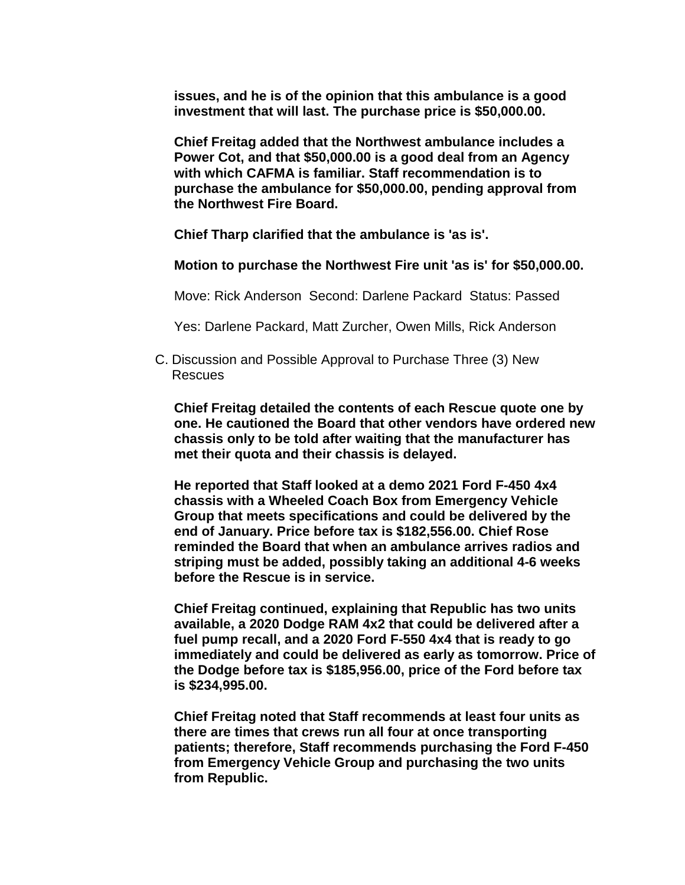**issues, and he is of the opinion that this ambulance is a good investment that will last. The purchase price is \$50,000.00.** 

**Chief Freitag added that the Northwest ambulance includes a Power Cot, and that \$50,000.00 is a good deal from an Agency with which CAFMA is familiar. Staff recommendation is to purchase the ambulance for \$50,000.00, pending approval from the Northwest Fire Board.**

**Chief Tharp clarified that the ambulance is 'as is'.** 

**Motion to purchase the Northwest Fire unit 'as is' for \$50,000.00.**

Move: Rick Anderson Second: Darlene Packard Status: Passed

Yes: Darlene Packard, Matt Zurcher, Owen Mills, Rick Anderson

C. Discussion and Possible Approval to Purchase Three (3) New Rescues

**Chief Freitag detailed the contents of each Rescue quote one by one. He cautioned the Board that other vendors have ordered new chassis only to be told after waiting that the manufacturer has met their quota and their chassis is delayed.** 

**He reported that Staff looked at a demo 2021 Ford F-450 4x4 chassis with a Wheeled Coach Box from Emergency Vehicle Group that meets specifications and could be delivered by the end of January. Price before tax is \$182,556.00. Chief Rose reminded the Board that when an ambulance arrives radios and striping must be added, possibly taking an additional 4-6 weeks before the Rescue is in service.**

**Chief Freitag continued, explaining that Republic has two units available, a 2020 Dodge RAM 4x2 that could be delivered after a fuel pump recall, and a 2020 Ford F-550 4x4 that is ready to go immediately and could be delivered as early as tomorrow. Price of the Dodge before tax is \$185,956.00, price of the Ford before tax is \$234,995.00.**

**Chief Freitag noted that Staff recommends at least four units as there are times that crews run all four at once transporting patients; therefore, Staff recommends purchasing the Ford F-450 from Emergency Vehicle Group and purchasing the two units from Republic.**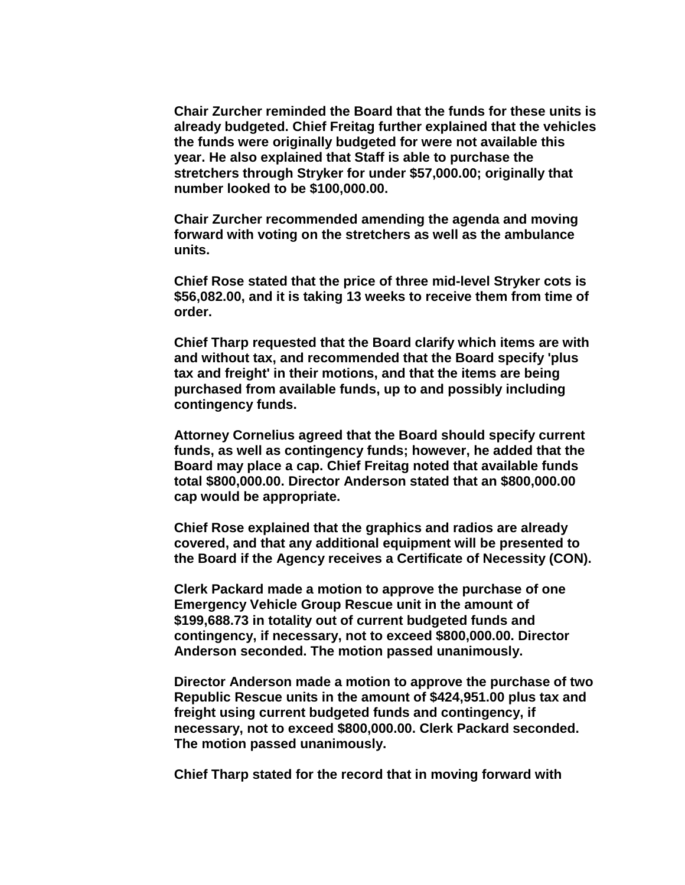**Chair Zurcher reminded the Board that the funds for these units is already budgeted. Chief Freitag further explained that the vehicles the funds were originally budgeted for were not available this year. He also explained that Staff is able to purchase the stretchers through Stryker for under \$57,000.00; originally that number looked to be \$100,000.00.**

**Chair Zurcher recommended amending the agenda and moving forward with voting on the stretchers as well as the ambulance units.** 

**Chief Rose stated that the price of three mid-level Stryker cots is \$56,082.00, and it is taking 13 weeks to receive them from time of order.**

**Chief Tharp requested that the Board clarify which items are with and without tax, and recommended that the Board specify 'plus tax and freight' in their motions, and that the items are being purchased from available funds, up to and possibly including contingency funds.** 

**Attorney Cornelius agreed that the Board should specify current funds, as well as contingency funds; however, he added that the Board may place a cap. Chief Freitag noted that available funds total \$800,000.00. Director Anderson stated that an \$800,000.00 cap would be appropriate.** 

**Chief Rose explained that the graphics and radios are already covered, and that any additional equipment will be presented to the Board if the Agency receives a Certificate of Necessity (CON).**

**Clerk Packard made a motion to approve the purchase of one Emergency Vehicle Group Rescue unit in the amount of \$199,688.73 in totality out of current budgeted funds and contingency, if necessary, not to exceed \$800,000.00. Director Anderson seconded. The motion passed unanimously.**

**Director Anderson made a motion to approve the purchase of two Republic Rescue units in the amount of \$424,951.00 plus tax and freight using current budgeted funds and contingency, if necessary, not to exceed \$800,000.00. Clerk Packard seconded. The motion passed unanimously.**

**Chief Tharp stated for the record that in moving forward with**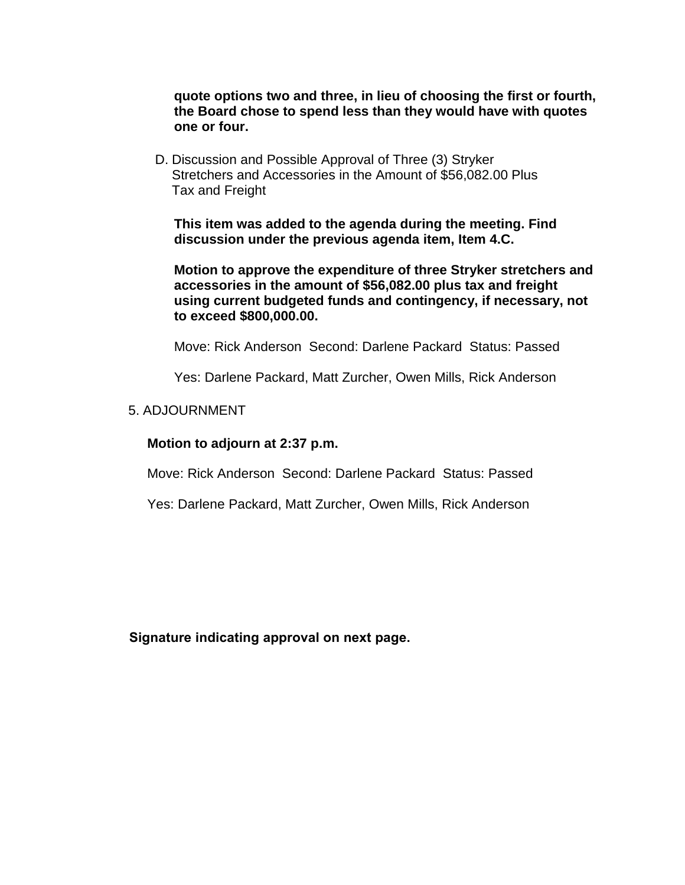**quote options two and three, in lieu of choosing the first or fourth, the Board chose to spend less than they would have with quotes one or four.**

D. Discussion and Possible Approval of Three (3) Stryker Stretchers and Accessories in the Amount of \$56,082.00 Plus Tax and Freight

**This item was added to the agenda during the meeting. Find discussion under the previous agenda item, Item 4.C.**

**Motion to approve the expenditure of three Stryker stretchers and accessories in the amount of \$56,082.00 plus tax and freight using current budgeted funds and contingency, if necessary, not to exceed \$800,000.00.**

Move: Rick Anderson Second: Darlene Packard Status: Passed

Yes: Darlene Packard, Matt Zurcher, Owen Mills, Rick Anderson

#### 5. ADJOURNMENT

#### **Motion to adjourn at 2:37 p.m.**

Move: Rick Anderson Second: Darlene Packard Status: Passed

Yes: Darlene Packard, Matt Zurcher, Owen Mills, Rick Anderson

**Signature indicating approval on next page.**